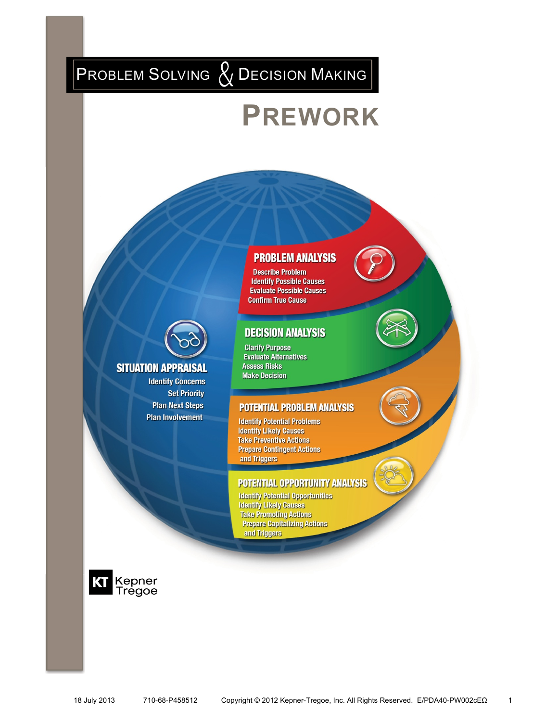# PROBLEM SOLVING  $\&$  Decision Making

**SITUATION APPRAISAL** 

**Identify Concerns Set Priority Plan Next Steps** 

**Plan Involvement** 

# **PREWORK**

### **PROBLEM ANALYSIS**

**Describe Problem Identify Possible Causes Evaluate Possible Causes Confirm True Cause** 

### **DECISION ANALYSIS**

**Clarify Purpose Evaluate Alternatives Assess Risks Make Decision** 

#### **POTENTIAL PROBLEM ANALYSIS**

**Identify Potential Problems Identify Likely Causes Take Preventive Actions Prepare Contingent Actions** and Triggers

### **POTENTIAL OPPORTUNITY ANALYSIS**

**Identify Potential Opportunities Identify Likely Causes Take Promoting Actions Prepare Capitalizing Actions** and Triggers

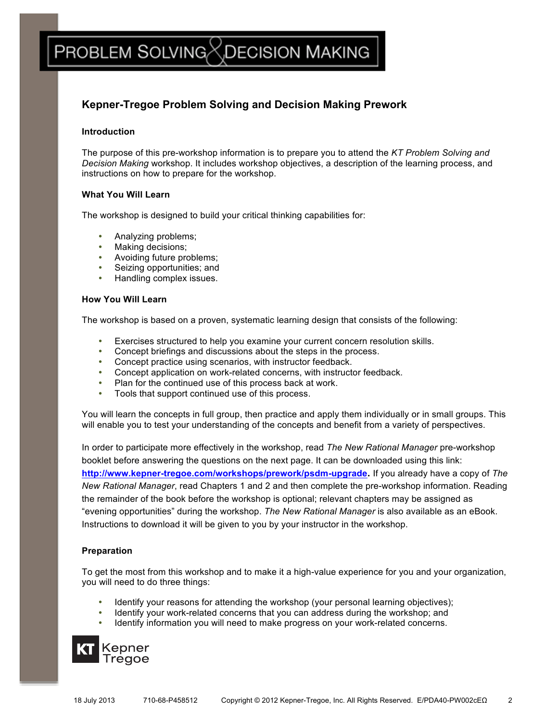# PROBLEM SOLVING $\boxtimes$ DECISION MAKING

### **Kepner-Tregoe Problem Solving and Decision Making Prework**

#### **Introduction**

The purpose of this pre-workshop information is to prepare you to attend the *KT Problem Solving and Decision Making* workshop. It includes workshop objectives, a description of the learning process, and instructions on how to prepare for the workshop.

#### **What You Will Learn**

The workshop is designed to build your critical thinking capabilities for:

- Analyzing problems;
- Making decisions;
- Avoiding future problems;
- Seizing opportunities; and
- Handling complex issues.

#### **How You Will Learn**

The workshop is based on a proven, systematic learning design that consists of the following:

- ! Exercises structured to help you examine your current concern resolution skills.
- Concept briefings and discussions about the steps in the process.
- Concept practice using scenarios, with instructor feedback.
- Concept application on work-related concerns, with instructor feedback.
- ! Plan for the continued use of this process back at work.
- Tools that support continued use of this process.

You will learn the concepts in full group, then practice and apply them individually or in small groups. This will enable you to test your understanding of the concepts and benefit from a variety of perspectives.

In order to participate more effectively in the workshop, read *The New Rational Manager* pre-workshop booklet before answering the questions on the next page. It can be downloaded using this link: **http://www.kepner-tregoe.com/workshops/prework/psdm-upgrade.** If you already have a copy of *The New Rational Manager*, read Chapters 1 and 2 and then complete the pre-workshop information. Reading the remainder of the book before the workshop is optional; relevant chapters may be assigned as "evening opportunities" during the workshop. *The New Rational Manager* is also available as an eBook. Instructions to download it will be given to you by your instructor in the workshop.

### **Preparation**

To get the most from this workshop and to make it a high-value experience for you and your organization, you will need to do three things:

- Identify your reasons for attending the workshop (your personal learning objectives);
- ! Identify your work-related concerns that you can address during the workshop; and
- Identify information you will need to make progress on your work-related concerns.

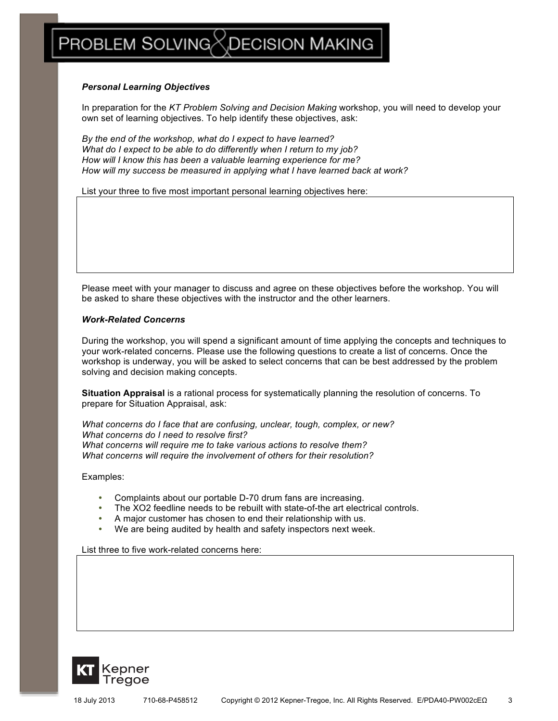## <code>PROBLEM</code> SOLVING $\times$ DECISION MAKING

#### *Personal Learning Objectives*

In preparation for the *KT Problem Solving and Decision Making* workshop, you will need to develop your own set of learning objectives. To help identify these objectives, ask:

*By the end of the workshop, what do I expect to have learned? What do I expect to be able to do differently when I return to my job? How will I know this has been a valuable learning experience for me? How will my success be measured in applying what I have learned back at work?*

List your three to five most important personal learning objectives here:

Please meet with your manager to discuss and agree on these objectives before the workshop. You will be asked to share these objectives with the instructor and the other learners.

#### *Work-Related Concerns*

During the workshop, you will spend a significant amount of time applying the concepts and techniques to your work-related concerns. Please use the following questions to create a list of concerns. Once the workshop is underway, you will be asked to select concerns that can be best addressed by the problem solving and decision making concepts.

**Situation Appraisal** is a rational process for systematically planning the resolution of concerns. To prepare for Situation Appraisal, ask:

*What concerns do I face that are confusing, unclear, tough, complex, or new? What concerns do I need to resolve first? What concerns will require me to take various actions to resolve them? What concerns will require the involvement of others for their resolution?*

Examples:

- ! Complaints about our portable D-70 drum fans are increasing.
- The XO2 feedline needs to be rebuilt with state-of-the art electrical controls.
- ! A major customer has chosen to end their relationship with us.
- We are being audited by health and safety inspectors next week.

List three to five work-related concerns here:

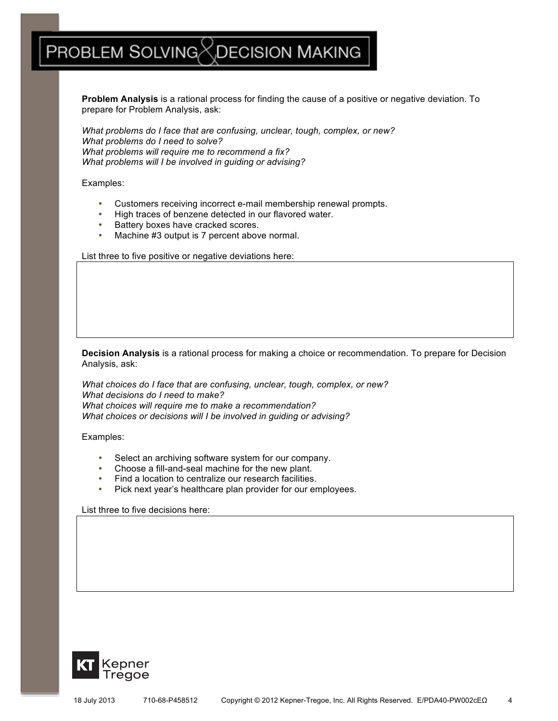# PROBLEM SOLVING $\%$ DECISION MAKING

**Problem Analysis** is a rational process for finding the cause of a positive or negative deviation. To prepare for Problem Analysis, ask:

*What problems do I face that are confusing, unclear, tough, complex, or new? What problems do I need to solve? What problems will require me to recommend a fix? What problems will I be involved in guiding or advising?*

Examples:

- ! Customers receiving incorrect e-mail membership renewal prompts.
- ! High traces of benzene detected in our flavored water.
- Battery boxes have cracked scores.
- ! Machine #3 output is 7 percent above normal.

List three to five positive or negative deviations here:

**Decision Analysis** is a rational process for making a choice or recommendation. To prepare for Decision Analysis, ask:

*What choices do I face that are confusing, unclear, tough, complex, or new? What decisions do I need to make? What choices will require me to make a recommendation? What choices or decisions will I be involved in guiding or advising?*

Examples:

- ! Select an archiving software system for our company.
- Choose a fill-and-seal machine for the new plant.
- Find a location to centralize our research facilities.
- ! Pick next year's healthcare plan provider for our employees.

List three to five decisions here:

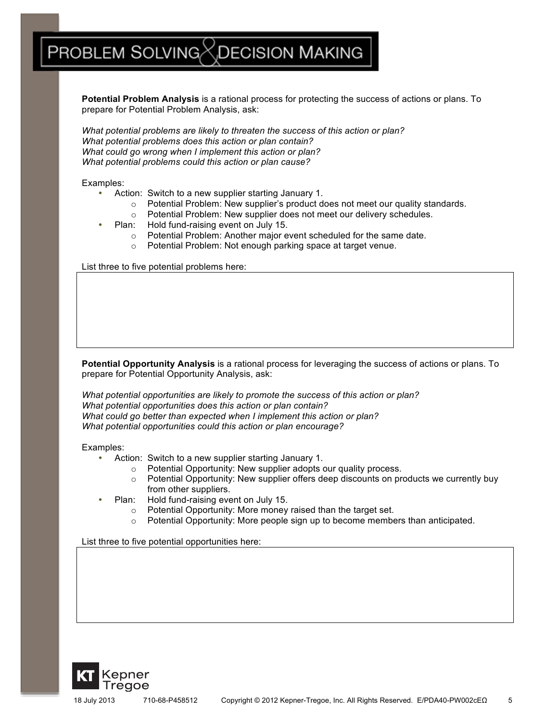### <code>PROBLEM</code> SOLVING $\!\!\!\!\times$  <code>DECISION</code> MAKING

**Potential Problem Analysis** is a rational process for protecting the success of actions or plans. To prepare for Potential Problem Analysis, ask:

*What potential problems are likely to threaten the success of this action or plan? What potential problems does this action or plan contain? What could go wrong when I implement this action or plan? What potential problems could this action or plan cause?* 

Examples:

- Action: Switch to a new supplier starting January 1.
	- $\circ$  Potential Problem: New supplier's product does not meet our quality standards.
	- o Potential Problem: New supplier does not meet our delivery schedules.
- Plan: Hold fund-raising event on July 15.
	- o Potential Problem: Another major event scheduled for the same date.
	- o Potential Problem: Not enough parking space at target venue.

List three to five potential problems here:

**Potential Opportunity Analysis** is a rational process for leveraging the success of actions or plans. To prepare for Potential Opportunity Analysis, ask:

*What potential opportunities are likely to promote the success of this action or plan? What potential opportunities does this action or plan contain? What could go better than expected when I implement this action or plan? What potential opportunities could this action or plan encourage?* 

Examples:

- Action: Switch to a new supplier starting January 1.
	- o Potential Opportunity: New supplier adopts our quality process.
	- $\circ$  Potential Opportunity: New supplier offers deep discounts on products we currently buy from other suppliers.
- Plan: Hold fund-raising event on July 15.
	- o Potential Opportunity: More money raised than the target set.
	- o Potential Opportunity: More people sign up to become members than anticipated.

List three to five potential opportunities here: